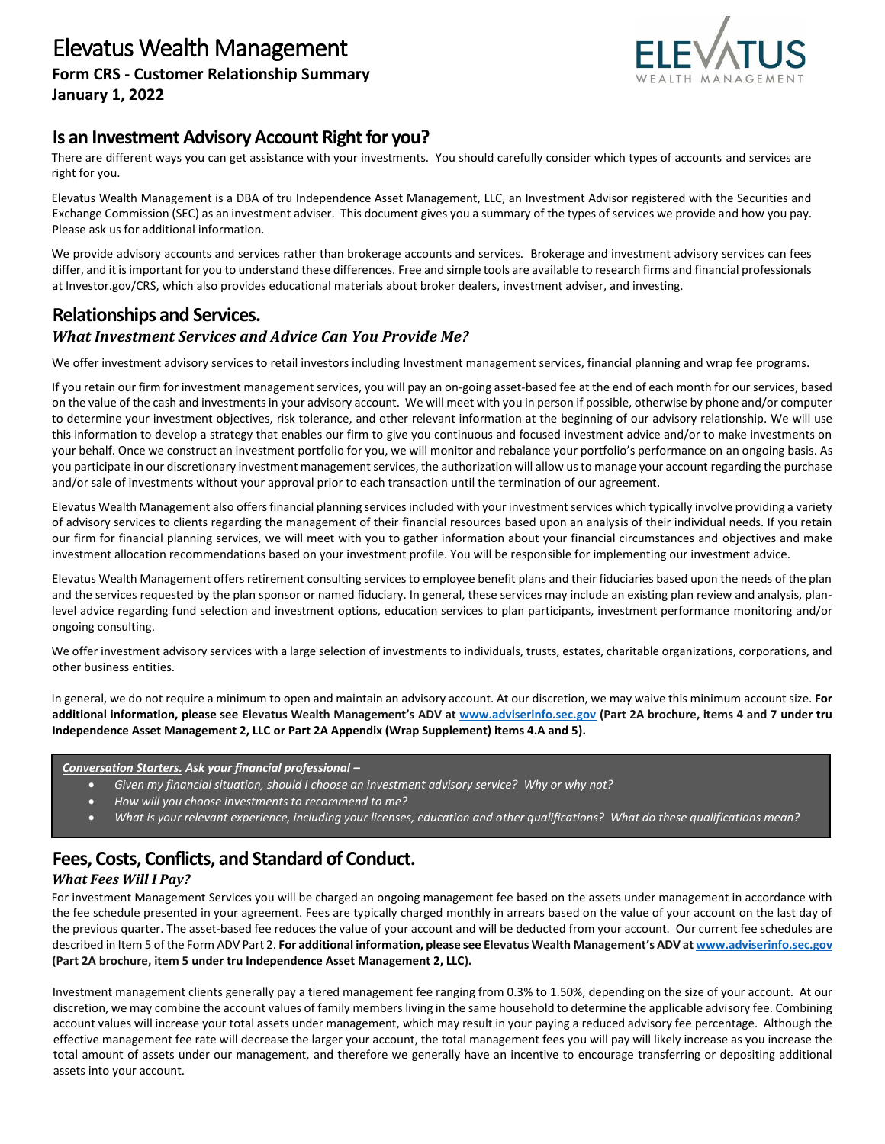

# **Is an Investment Advisory Account Right for you?**

There are different ways you can get assistance with your investments. You should carefully consider which types of accounts and services are right for you.

Elevatus Wealth Management is a DBA of tru Independence Asset Management, LLC, an Investment Advisor registered with the Securities and Exchange Commission (SEC) as an investment adviser. This document gives you a summary of the types of services we provide and how you pay. Please ask us for additional information.

We provide advisory accounts and services rather than brokerage accounts and services. Brokerage and investment advisory services can fees differ, and it is important for you to understand these differences. Free and simple tools are available to research firms and financial professionals at Investor.gov/CRS, which also provides educational materials about broker dealers, investment adviser, and investing.

# **Relationships and Services.** *What Investment Services and Advice Can You Provide Me?*

We offer investment advisory services to retail investors including Investment management services, financial planning and wrap fee programs.

If you retain our firm for investment management services, you will pay an on-going asset-based fee at the end of each month for our services, based on the value of the cash and investments in your advisory account. We will meet with you in person if possible, otherwise by phone and/or computer to determine your investment objectives, risk tolerance, and other relevant information at the beginning of our advisory relationship. We will use this information to develop a strategy that enables our firm to give you continuous and focused investment advice and/or to make investments on your behalf. Once we construct an investment portfolio for you, we will monitor and rebalance your portfolio's performance on an ongoing basis. As you participate in our discretionary investment management services, the authorization will allow us to manage your account regarding the purchase and/or sale of investments without your approval prior to each transaction until the termination of our agreement.

Elevatus Wealth Management also offers financial planning servicesincluded with your investment services which typically involve providing a variety of advisory services to clients regarding the management of their financial resources based upon an analysis of their individual needs. If you retain our firm for financial planning services, we will meet with you to gather information about your financial circumstances and objectives and make investment allocation recommendations based on your investment profile. You will be responsible for implementing our investment advice.

Elevatus Wealth Management offers retirement consulting services to employee benefit plans and their fiduciaries based upon the needs of the plan and the services requested by the plan sponsor or named fiduciary. In general, these services may include an existing plan review and analysis, planlevel advice regarding fund selection and investment options, education services to plan participants, investment performance monitoring and/or ongoing consulting.

We offer investment advisory services with a large selection of investments to individuals, trusts, estates, charitable organizations, corporations, and other business entities.

In general, we do not require a minimum to open and maintain an advisory account. At our discretion, we may waive this minimum account size. **For additional information, please see Elevatus Wealth Management's ADV at [www.adviserinfo.sec.gov](http://www.adviserinfo.sec.gov/) (Part 2A brochure, items 4 and 7 under tru Independence Asset Management 2, LLC or Part 2A Appendix (Wrap Supplement) items 4.A and 5).**

*Conversation Starters. Ask your financial professional –*

- *Given my financial situation, should I choose an investment advisory service? Why or why not?*
- *How will you choose investments to recommend to me?*
- *What is your relevant experience, including your licenses, education and other qualifications? What do these qualifications mean?*

# **Fees, Costs, Conflicts, and Standard of Conduct.**

## *What Fees Will I Pay?*

For investment Management Services you will be charged an ongoing management fee based on the assets under management in accordance with the fee schedule presented in your agreement. Fees are typically charged monthly in arrears based on the value of your account on the last day of the previous quarter. The asset-based fee reduces the value of your account and will be deducted from your account. Our current fee schedules are described in Item 5 of the Form ADV Part 2. **For additional information, please see Elevatus Wealth Management's ADV a[t www.adviserinfo.sec.gov](http://www.adviserinfo.sec.gov/) (Part 2A brochure, item 5 under tru Independence Asset Management 2, LLC).** 

Investment management clients generally pay a tiered management fee ranging from 0.3% to 1.50%, depending on the size of your account. At our discretion, we may combine the account values of family members living in the same household to determine the applicable advisory fee. Combining account values will increase your total assets under management, which may result in your paying a reduced advisory fee percentage. Although the effective management fee rate will decrease the larger your account, the total management fees you will pay will likely increase as you increase the total amount of assets under our management, and therefore we generally have an incentive to encourage transferring or depositing additional assets into your account.